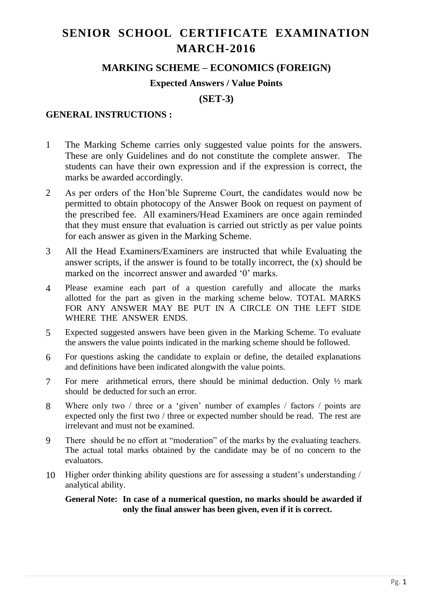# **SENIOR SCHOOL CERTIFICATE EXAMINATION MARCH-2016**

## **MARKING SCHEME – ECONOMICS (FOREIGN)**

#### **Expected Answers / Value Points**

**(SET-3)**

### **GENERAL INSTRUCTIONS :**

- 1 The Marking Scheme carries only suggested value points for the answers. These are only Guidelines and do not constitute the complete answer. The students can have their own expression and if the expression is correct, the marks be awarded accordingly.
- 2 As per orders of the Hon'ble Supreme Court, the candidates would now be permitted to obtain photocopy of the Answer Book on request on payment of the prescribed fee. All examiners/Head Examiners are once again reminded that they must ensure that evaluation is carried out strictly as per value points for each answer as given in the Marking Scheme.
- 3 All the Head Examiners/Examiners are instructed that while Evaluating the answer scripts, if the answer is found to be totally incorrect, the (x) should be marked on the incorrect answer and awarded '0' marks.
- 4 Please examine each part of a question carefully and allocate the marks allotted for the part as given in the marking scheme below. TOTAL MARKS FOR ANY ANSWER MAY BE PUT IN A CIRCLE ON THE LEFT SIDE WHERE THE ANSWER ENDS.
- 5 Expected suggested answers have been given in the Marking Scheme. To evaluate the answers the value points indicated in the marking scheme should be followed.
- 6 For questions asking the candidate to explain or define, the detailed explanations and definitions have been indicated alongwith the value points.
- 7 For mere arithmetical errors, there should be minimal deduction. Only ½ mark should be deducted for such an error.
- 8 Where only two / three or a 'given' number of examples / factors / points are expected only the first two / three or expected number should be read. The rest are irrelevant and must not be examined.
- 9 There should be no effort at "moderation" of the marks by the evaluating teachers. The actual total marks obtained by the candidate may be of no concern to the evaluators.
- 10 Higher order thinking ability questions are for assessing a student's understanding / analytical ability.

#### **General Note: In case of a numerical question, no marks should be awarded if only the final answer has been given, even if it is correct.**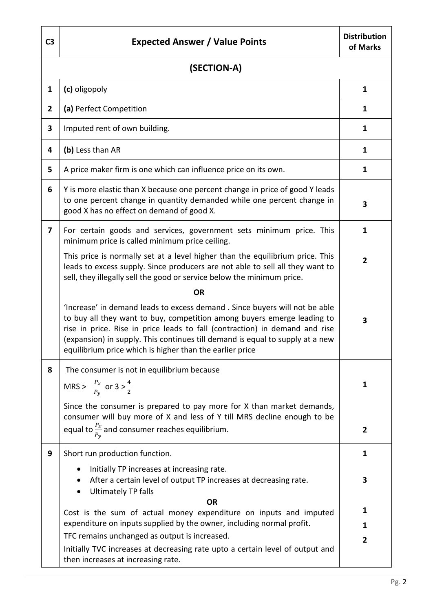| C <sub>3</sub> | <b>Expected Answer / Value Points</b>                                                                                                                                                                                                                                                                                                                                             | <b>Distribution</b><br>of Marks |  |  |  |
|----------------|-----------------------------------------------------------------------------------------------------------------------------------------------------------------------------------------------------------------------------------------------------------------------------------------------------------------------------------------------------------------------------------|---------------------------------|--|--|--|
|                | (SECTION-A)                                                                                                                                                                                                                                                                                                                                                                       |                                 |  |  |  |
| 1              | (c) oligopoly                                                                                                                                                                                                                                                                                                                                                                     | 1                               |  |  |  |
| $\overline{2}$ | (a) Perfect Competition                                                                                                                                                                                                                                                                                                                                                           | 1                               |  |  |  |
| 3              | Imputed rent of own building.                                                                                                                                                                                                                                                                                                                                                     | 1                               |  |  |  |
| 4              | (b) Less than AR                                                                                                                                                                                                                                                                                                                                                                  | 1                               |  |  |  |
| 5              | A price maker firm is one which can influence price on its own.                                                                                                                                                                                                                                                                                                                   | 1                               |  |  |  |
| 6              | Y is more elastic than X because one percent change in price of good Y leads<br>to one percent change in quantity demanded while one percent change in<br>good X has no effect on demand of good X.                                                                                                                                                                               | 3                               |  |  |  |
| 7              | For certain goods and services, government sets minimum price. This<br>minimum price is called minimum price ceiling.                                                                                                                                                                                                                                                             | 1                               |  |  |  |
|                | This price is normally set at a level higher than the equilibrium price. This<br>leads to excess supply. Since producers are not able to sell all they want to<br>sell, they illegally sell the good or service below the minimum price.                                                                                                                                          | $\overline{2}$                  |  |  |  |
|                | <b>OR</b>                                                                                                                                                                                                                                                                                                                                                                         |                                 |  |  |  |
|                | 'Increase' in demand leads to excess demand. Since buyers will not be able<br>to buy all they want to buy, competition among buyers emerge leading to<br>rise in price. Rise in price leads to fall (contraction) in demand and rise<br>(expansion) in supply. This continues till demand is equal to supply at a new<br>equilibrium price which is higher than the earlier price | 3                               |  |  |  |
| 8              | The consumer is not in equilibrium because                                                                                                                                                                                                                                                                                                                                        |                                 |  |  |  |
|                | MRS > $\frac{P_x}{P_v}$ or 3 > $\frac{4}{2}$                                                                                                                                                                                                                                                                                                                                      | 1                               |  |  |  |
|                | Since the consumer is prepared to pay more for X than market demands,                                                                                                                                                                                                                                                                                                             |                                 |  |  |  |
|                | consumer will buy more of X and less of Y till MRS decline enough to be<br>equal to $\frac{p_x}{p_y}$ and consumer reaches equilibrium.                                                                                                                                                                                                                                           | $\overline{2}$                  |  |  |  |
| 9              | Short run production function.                                                                                                                                                                                                                                                                                                                                                    | 1                               |  |  |  |
|                | Initially TP increases at increasing rate.<br>After a certain level of output TP increases at decreasing rate.<br><b>Ultimately TP falls</b><br>$\bullet$                                                                                                                                                                                                                         | 3                               |  |  |  |
|                | <b>OR</b><br>Cost is the sum of actual money expenditure on inputs and imputed                                                                                                                                                                                                                                                                                                    | 1                               |  |  |  |
|                | expenditure on inputs supplied by the owner, including normal profit.                                                                                                                                                                                                                                                                                                             | 1                               |  |  |  |
|                | TFC remains unchanged as output is increased.                                                                                                                                                                                                                                                                                                                                     | 2                               |  |  |  |
|                | Initially TVC increases at decreasing rate upto a certain level of output and<br>then increases at increasing rate.                                                                                                                                                                                                                                                               |                                 |  |  |  |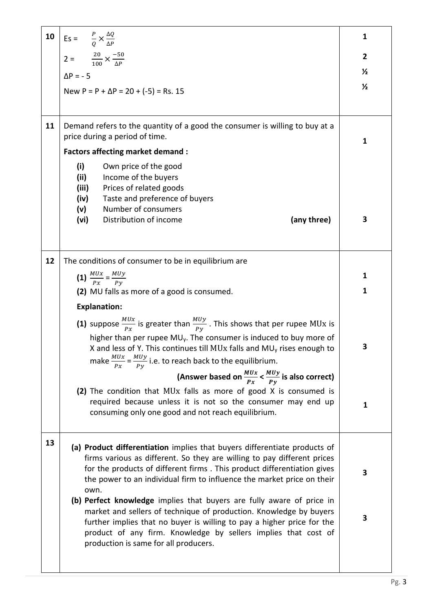|    | <b>10</b> $\left  \text{Es} = \frac{P}{Q} \times \frac{\Delta Q}{\Delta P} \right $                                                                                                                                                                                                                                                                             | 1              |
|----|-----------------------------------------------------------------------------------------------------------------------------------------------------------------------------------------------------------------------------------------------------------------------------------------------------------------------------------------------------------------|----------------|
|    | $2 = \frac{20}{100} \times \frac{-50}{\Delta P}$                                                                                                                                                                                                                                                                                                                | $\overline{2}$ |
|    | $\Delta P = -5$                                                                                                                                                                                                                                                                                                                                                 | $\frac{1}{2}$  |
|    | New $P = P + \Delta P = 20 + (-5) = Rs. 15$                                                                                                                                                                                                                                                                                                                     | $\frac{1}{2}$  |
|    |                                                                                                                                                                                                                                                                                                                                                                 |                |
| 11 | Demand refers to the quantity of a good the consumer is willing to buy at a<br>price during a period of time.                                                                                                                                                                                                                                                   | 1              |
|    | <b>Factors affecting market demand:</b>                                                                                                                                                                                                                                                                                                                         |                |
|    | (i)<br>Own price of the good<br>(ii)<br>Income of the buyers<br>(iii)<br>Prices of related goods<br>Taste and preference of buyers<br>(iv)<br>Number of consumers<br>(v)                                                                                                                                                                                        |                |
|    | Distribution of income<br>(any three)<br>(vi)                                                                                                                                                                                                                                                                                                                   | 3              |
| 12 | The conditions of consumer to be in equilibrium are                                                                                                                                                                                                                                                                                                             |                |
|    | (1) $\frac{MUx}{Px} = \frac{MUy}{Py}$                                                                                                                                                                                                                                                                                                                           | 1              |
|    | (2) MU falls as more of a good is consumed.                                                                                                                                                                                                                                                                                                                     | 1              |
|    | <b>Explanation:</b>                                                                                                                                                                                                                                                                                                                                             |                |
|    | (1) suppose $\frac{M U x}{P x}$ is greater than $\frac{M U y}{P y}$ . This shows that per rupee MUx is<br>higher than per rupee MU <sub>y</sub> . The consumer is induced to buy more of<br>X and less of Y. This continues till MUx falls and MU <sub>y</sub> rises enough to<br>make $\frac{MUx}{Px} = \frac{MUy}{Py}$ i.e. to reach back to the equilibrium. | 3              |
|    | (Answer based on $\frac{M U x}{P x} < \frac{M U y}{P y}$ is also correct)                                                                                                                                                                                                                                                                                       |                |
|    | (2) The condition that MUx falls as more of good X is consumed is<br>required because unless it is not so the consumer may end up<br>consuming only one good and not reach equilibrium.                                                                                                                                                                         | 1              |
| 13 | (a) Product differentiation implies that buyers differentiate products of<br>firms various as different. So they are willing to pay different prices<br>for the products of different firms. This product differentiation gives<br>the power to an individual firm to influence the market price on their<br>own.                                               | 3              |
|    | (b) Perfect knowledge implies that buyers are fully aware of price in<br>market and sellers of technique of production. Knowledge by buyers<br>further implies that no buyer is willing to pay a higher price for the<br>product of any firm. Knowledge by sellers implies that cost of<br>production is same for all producers.                                | 3              |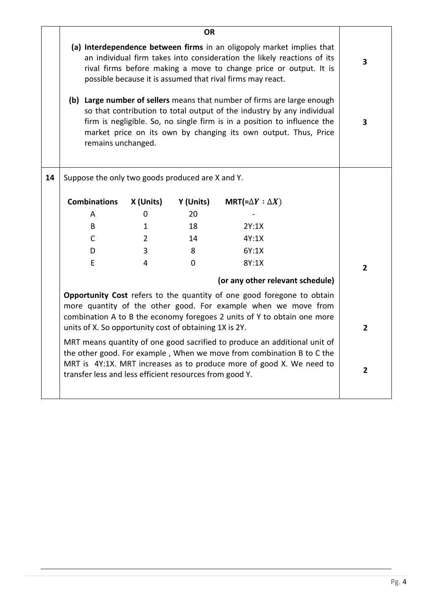|    | <b>OR</b>                                                                                                                                                                                                                                                                             |             |           |                                                                                                                                                                                                                                                                                                  |                         |                |
|----|---------------------------------------------------------------------------------------------------------------------------------------------------------------------------------------------------------------------------------------------------------------------------------------|-------------|-----------|--------------------------------------------------------------------------------------------------------------------------------------------------------------------------------------------------------------------------------------------------------------------------------------------------|-------------------------|----------------|
|    | (a) Interdependence between firms in an oligopoly market implies that<br>an individual firm takes into consideration the likely reactions of its<br>rival firms before making a move to change price or output. It is<br>possible because it is assumed that rival firms may react.   |             |           |                                                                                                                                                                                                                                                                                                  | $\overline{\mathbf{3}}$ |                |
|    | remains unchanged.                                                                                                                                                                                                                                                                    |             |           | (b) Large number of sellers means that number of firms are large enough<br>so that contribution to total output of the industry by any individual<br>firm is negligible. So, no single firm is in a position to influence the<br>market price on its own by changing its own output. Thus, Price |                         | 3              |
| 14 | Suppose the only two goods produced are X and Y.                                                                                                                                                                                                                                      |             |           |                                                                                                                                                                                                                                                                                                  |                         |                |
|    | <b>Combinations</b>                                                                                                                                                                                                                                                                   | X (Units)   | Y (Units) | MRT(= $\Delta Y : \Delta X$ )                                                                                                                                                                                                                                                                    |                         |                |
|    | A                                                                                                                                                                                                                                                                                     | 0           | 20        |                                                                                                                                                                                                                                                                                                  |                         |                |
|    | B                                                                                                                                                                                                                                                                                     | 1           | 18        | 2Y:1X                                                                                                                                                                                                                                                                                            |                         |                |
|    | $\mathsf{C}$                                                                                                                                                                                                                                                                          | $2^{\circ}$ | 14        | 4Y:1X                                                                                                                                                                                                                                                                                            |                         |                |
|    | D                                                                                                                                                                                                                                                                                     | 3           | 8         | 6Y:1X                                                                                                                                                                                                                                                                                            |                         |                |
|    | E                                                                                                                                                                                                                                                                                     | 4           | $\Omega$  | 8Y:1X                                                                                                                                                                                                                                                                                            |                         | $\overline{2}$ |
|    | (or any other relevant schedule)                                                                                                                                                                                                                                                      |             |           |                                                                                                                                                                                                                                                                                                  |                         |                |
|    | Opportunity Cost refers to the quantity of one good foregone to obtain<br>more quantity of the other good. For example when we move from<br>combination A to B the economy foregoes 2 units of Y to obtain one more<br>units of X. So opportunity cost of obtaining 1X is 2Y.         |             |           |                                                                                                                                                                                                                                                                                                  | $\overline{2}$          |                |
|    | MRT means quantity of one good sacrified to produce an additional unit of<br>the other good. For example, When we move from combination B to C the<br>MRT is 4Y:1X. MRT increases as to produce more of good X. We need to<br>transfer less and less efficient resources from good Y. |             |           | $\overline{2}$                                                                                                                                                                                                                                                                                   |                         |                |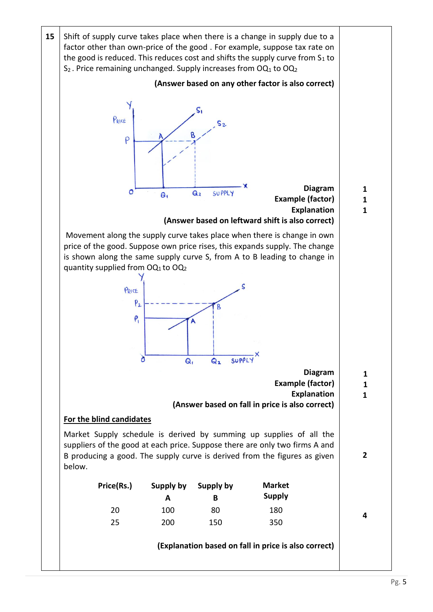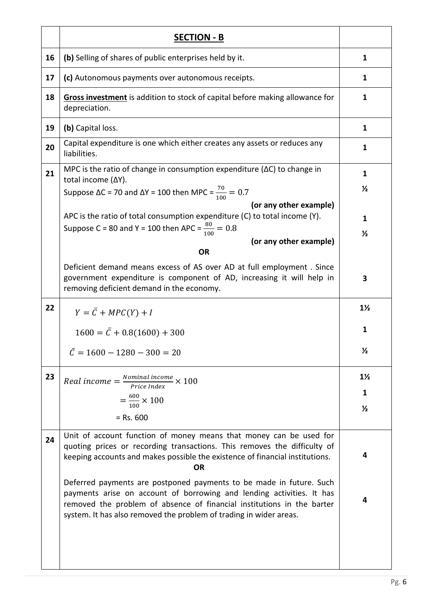|    | <b>SECTION - B</b>                                                                                                                                                                                                                                                                           |                                      |
|----|----------------------------------------------------------------------------------------------------------------------------------------------------------------------------------------------------------------------------------------------------------------------------------------------|--------------------------------------|
| 16 | (b) Selling of shares of public enterprises held by it.                                                                                                                                                                                                                                      | 1                                    |
| 17 | (c) Autonomous payments over autonomous receipts.                                                                                                                                                                                                                                            | 1                                    |
| 18 | Gross investment is addition to stock of capital before making allowance for<br>depreciation.                                                                                                                                                                                                | $\mathbf{1}$                         |
| 19 | (b) Capital loss.                                                                                                                                                                                                                                                                            | $\mathbf{1}$                         |
| 20 | Capital expenditure is one which either creates any assets or reduces any<br>liabilities.                                                                                                                                                                                                    | 1                                    |
| 21 | MPC is the ratio of change in consumption expenditure ( $\Delta C$ ) to change in<br>total income (ΔY).<br>Suppose ΔC = 70 and ΔY = 100 then MPC = $\frac{70}{100}$ = 0.7                                                                                                                    | 1<br>$\frac{1}{2}$                   |
|    | (or any other example)<br>APC is the ratio of total consumption expenditure (C) to total income (Y).<br>Suppose C = 80 and Y = 100 then APC = $\frac{80}{100}$ = 0.8<br>(or any other example)<br><b>OR</b>                                                                                  | 1<br>$\frac{1}{2}$                   |
|    | Deficient demand means excess of AS over AD at full employment. Since<br>government expenditure is component of AD, increasing it will help in<br>removing deficient demand in the economy.                                                                                                  | 3                                    |
| 22 | $Y = \overline{C} + MPC(Y) + I$                                                                                                                                                                                                                                                              | $1\frac{1}{2}$                       |
|    | $1600 = \bar{C} + 0.8(1600) + 300$                                                                                                                                                                                                                                                           | 1                                    |
|    | $\overline{C} = 1600 - 1280 - 300 = 20$                                                                                                                                                                                                                                                      | $\frac{1}{2}$                        |
| 23 | Real income $=\frac{Nominal\ income}{Price\ Index}} \times 100$<br>$=\frac{600}{100} \times 100$<br>$=$ Rs. 600                                                                                                                                                                              | $1\frac{1}{2}$<br>1<br>$\frac{1}{2}$ |
| 24 | Unit of account function of money means that money can be used for<br>quoting prices or recording transactions. This removes the difficulty of<br>keeping accounts and makes possible the existence of financial institutions.<br><b>OR</b>                                                  | 4                                    |
|    | Deferred payments are postponed payments to be made in future. Such<br>payments arise on account of borrowing and lending activities. It has<br>removed the problem of absence of financial institutions in the barter<br>system. It has also removed the problem of trading in wider areas. | 4                                    |
|    |                                                                                                                                                                                                                                                                                              |                                      |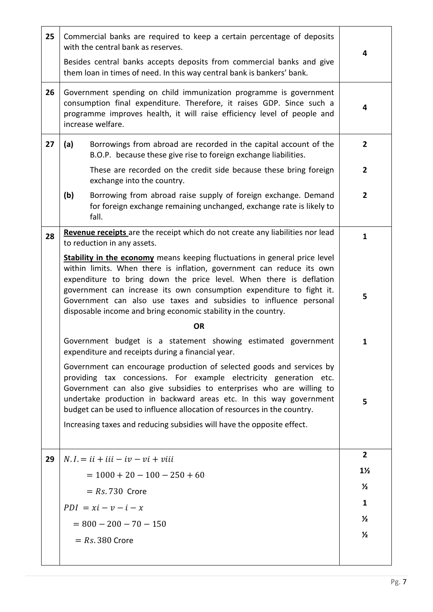| 25 | Commercial banks are required to keep a certain percentage of deposits<br>with the central bank as reserves.<br>Besides central banks accepts deposits from commercial banks and give<br>them loan in times of need. In this way central bank is bankers' bank.                                                                                                                                                                                 | 4              |
|----|-------------------------------------------------------------------------------------------------------------------------------------------------------------------------------------------------------------------------------------------------------------------------------------------------------------------------------------------------------------------------------------------------------------------------------------------------|----------------|
| 26 | Government spending on child immunization programme is government<br>consumption final expenditure. Therefore, it raises GDP. Since such a<br>programme improves health, it will raise efficiency level of people and<br>increase welfare.                                                                                                                                                                                                      | 4              |
| 27 | (a)<br>Borrowings from abroad are recorded in the capital account of the<br>B.O.P. because these give rise to foreign exchange liabilities.                                                                                                                                                                                                                                                                                                     | $\overline{2}$ |
|    | These are recorded on the credit side because these bring foreign<br>exchange into the country.                                                                                                                                                                                                                                                                                                                                                 | $\overline{2}$ |
|    | (b)<br>Borrowing from abroad raise supply of foreign exchange. Demand<br>for foreign exchange remaining unchanged, exchange rate is likely to<br>fall.                                                                                                                                                                                                                                                                                          | $\overline{2}$ |
| 28 | Revenue receipts are the receipt which do not create any liabilities nor lead<br>to reduction in any assets.                                                                                                                                                                                                                                                                                                                                    | $\mathbf{1}$   |
|    | <b>Stability in the economy</b> means keeping fluctuations in general price level<br>within limits. When there is inflation, government can reduce its own<br>expenditure to bring down the price level. When there is deflation<br>government can increase its own consumption expenditure to fight it.<br>Government can also use taxes and subsidies to influence personal<br>disposable income and bring economic stability in the country. | 5              |
|    | <b>OR</b>                                                                                                                                                                                                                                                                                                                                                                                                                                       |                |
|    | Government budget is a statement showing estimated government<br>expenditure and receipts during a financial year.                                                                                                                                                                                                                                                                                                                              | 1              |
|    | Government can encourage production of selected goods and services by<br>providing tax concessions. For example electricity generation etc.<br>Government can also give subsidies to enterprises who are willing to<br>undertake production in backward areas etc. In this way government<br>budget can be used to influence allocation of resources in the country.<br>Increasing taxes and reducing subsidies will have the opposite effect.  | 5              |
| 29 | $N.I = ii + iii - iv - vi + viii$                                                                                                                                                                                                                                                                                                                                                                                                               | $\overline{2}$ |
|    | $= 1000 + 20 - 100 - 250 + 60$                                                                                                                                                                                                                                                                                                                                                                                                                  | $1\frac{1}{2}$ |
|    | $= Rs. 730$ Crore                                                                                                                                                                                                                                                                                                                                                                                                                               | $\frac{1}{2}$  |
|    | $PDI = xi - v - i - x$                                                                                                                                                                                                                                                                                                                                                                                                                          | 1              |
|    | $= 800 - 200 - 70 - 150$                                                                                                                                                                                                                                                                                                                                                                                                                        | $\frac{1}{2}$  |
|    | $= Rs. 380$ Crore                                                                                                                                                                                                                                                                                                                                                                                                                               | $\frac{1}{2}$  |
|    |                                                                                                                                                                                                                                                                                                                                                                                                                                                 |                |